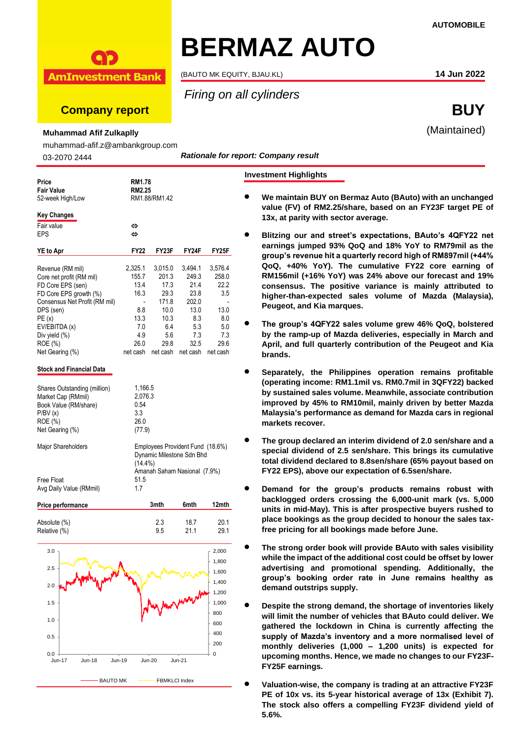# **BERMAZ AUTO**

(BAUTO MK EQUITY, BJAU.KL) **14 Jun 2022**

*Firing on all cylinders*

# **Company report BUY**

**AmInvestment Bank** 

**Muhammad Afif Zulkaplly**

muhammad-afif.z@ambankgroup.com

03-2070 2444

*Rationale for report: Company result*

### Price RM1.78<br>**Fair Value** RM2.25 **Fair Value RM2.25**<br> **RM1.88/RM1.42**<br> **RM1.88/RM1.42** 52-week High/Low **Key Changes**  $F$ air value  $\Leftrightarrow$ EPS ⇔ **YE to Apr FY22 FY23F FY24F FY25F** Revenue (RM mil) 2,325.1 3,015.0 3,494.1 3,576.4 Core net profit (RM mil) 155.7 201.3 249.3 258.0 FD Core EPS (sen)  $13.4$  17.3 21.4 22.2<br>FD Core EPS growth (%)  $16.3$  29.3 23.8 3.5 FD Core EPS growth (%) 16.3 29.3 23.8<br>Consensus Net Profit (RM mil) - 171.8 202.0 Consensus Net Profit (RM mil) DPS (sen) 8.8 10.0 13.0 13.0 PE (x) 13.3 10.3 8.3 8.0 EV/EBITDA (x) 7.0 6.4 5.3 5.0 Div yield (%) 4.9 5.6 7.3 7.3 ROE (%) 26.0 29.8 32.5 29.6 Net Gearing (%) net cash net cash net cash net cash **Stock and Financial Data** Shares Outstanding (million) 1,166.5 Market Cap (RMmil) 2,076.3<br>Book Value (RM/share) 0.54 Book Value (RM/share)  $P/BV(x)$  3.3 ROE (%) 26.0<br>
Net Gearing (%) 26.0 Net Gearing (%) Major Shareholders **Employees Provident Fund (18.6%)** Dynamic Milestone Sdn Bhd (14.4%) Amanah Saham Nasional (7.9%) Free Float 51.5<br>Ava Daily Value (RMmil) 61.7 Avg Daily Value (RMmil) 1.7

| Price performance | 3mth | 6mth | 12mth |
|-------------------|------|------|-------|
|                   |      |      |       |
| Absolute (%)      | 23   | 18.7 | 20.1  |
| Relative (%)      | 95   | 21.1 | 29.1  |



## **Investment Highlights**

- **We maintain BUY on Bermaz Auto (BAuto) with an unchanged value (FV) of RM2.25/share, based on an FY23F target PE of 13x, at parity with sector average.** 
	- **Blitzing our and street's expectations, BAuto's 4QFY22 net earnings jumped 93% QoQ and 18% YoY to RM79mil as the group's revenue hit a quarterly record high of RM897mil (+44% QoQ, +40% YoY). The cumulative FY22 core earning of RM156mil (+16% YoY) was 24% above our forecast and 19% consensus. The positive variance is mainly attributed to higher-than-expected sales volume of Mazda (Malaysia), Peugeot, and Kia marques.**
	- **The group's 4QFY22 sales volume grew 46% QoQ, bolstered by the ramp-up of Mazda deliveries, especially in March and April, and full quarterly contribution of the Peugeot and Kia brands.**
- **Separately, the Philippines operation remains profitable (operating income: RM1.1mil vs. RM0.7mil in 3QFY22) backed by sustained sales volume. Meanwhile, associate contribution improved by 45% to RM10mil, mainly driven by better Mazda Malaysia's performance as demand for Mazda cars in regional markets recover.**
- **The group declared an interim dividend of 2.0 sen/share and a special dividend of 2.5 sen/share. This brings its cumulative total dividend declared to 8.8sen/share (65% payout based on FY22 EPS), above our expectation of 6.5sen/share.**
- **Demand for the group's products remains robust with backlogged orders crossing the 6,000-unit mark (vs. 5,000 units in mid-May). This is after prospective buyers rushed to place bookings as the group decided to honour the sales taxfree pricing for all bookings made before June.**
- **The strong order book will provide BAuto with sales visibility while the impact of the additional cost could be offset by lower advertising and promotional spending. Additionally, the group's booking order rate in June remains healthy as demand outstrips supply.**
- **Despite the strong demand, the shortage of inventories likely will limit the number of vehicles that BAuto could deliver. We gathered the lockdown in China is currently affecting the supply of Mazda's inventory and a more normalised level of monthly deliveries (1,000 – 1,200 units) is expected for upcoming months. Hence, we made no changes to our FY23F-FY25F earnings.**
- **Valuation-wise, the company is trading at an attractive FY23F PE of 10x vs. its 5-year historical average of 13x (Exhibit 7). The stock also offers a compelling FY23F dividend yield of 5.6%.**

(Maintained)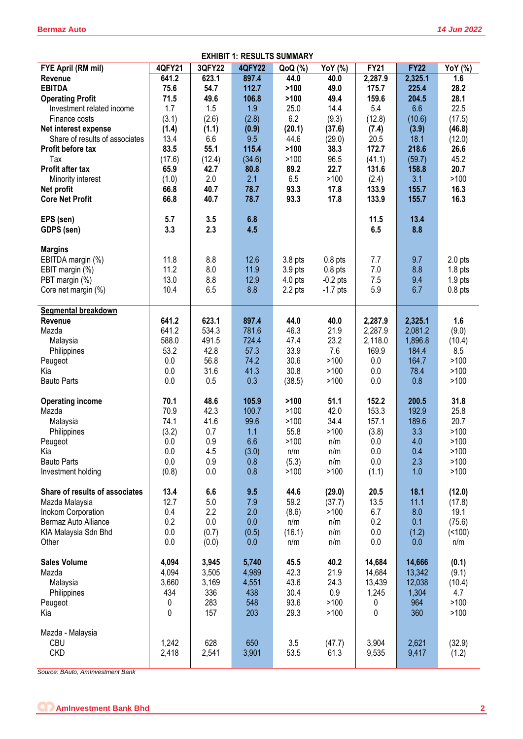| <b>EXHIBIT 1: RESULTS SUMMARY</b>          |               |             |               |                    |                |                |              |                |
|--------------------------------------------|---------------|-------------|---------------|--------------------|----------------|----------------|--------------|----------------|
| FYE April (RM mil)                         | <b>4QFY21</b> | 3QFY22      | <b>4QFY22</b> | QoQ (%)            | YoY (%)        | <b>FY21</b>    | <b>FY22</b>  | YoY (%)        |
| Revenue                                    | 641.2         | 623.1       | 897.4         | 44.0               | 40.0           | 2,287.9        | 2,325.1      | 1.6            |
| <b>EBITDA</b>                              | 75.6          | 54.7        | 112.7         | >100               | 49.0           | 175.7          | 225.4        | 28.2           |
| <b>Operating Profit</b>                    | 71.5          | 49.6        | 106.8         | >100               | 49.4           | 159.6          | 204.5        | 28.1           |
| Investment related income                  | 1.7           | 1.5         | 1.9           | 25.0               | 14.4           | 5.4            | 6.6          | 22.5           |
| Finance costs                              | (3.1)         | (2.6)       | (2.8)         | 6.2                | (9.3)          | (12.8)         | (10.6)       | (17.5)         |
| Net interest expense                       | (1.4)         | (1.1)       | (0.9)         | (20.1)             | (37.6)         | (7.4)          | (3.9)        | (46.8)         |
| Share of results of associates             | 13.4          | 6.6         | 9.5           | 44.6               | (29.0)         | 20.5           | 18.1         | (12.0)         |
| Profit before tax                          | 83.5          | 55.1        | 115.4         | >100               | 38.3           | 172.7          | 218.6        | 26.6           |
| Tax<br>Profit after tax                    | (17.6)        | (12.4)      | (34.6)        | >100               | 96.5<br>22.7   | (41.1)         | (59.7)       | 45.2<br>20.7   |
|                                            | 65.9<br>(1.0) | 42.7<br>2.0 | 80.8<br>2.1   | 89.2<br>6.5        | >100           | 131.6          | 158.8<br>3.1 | >100           |
| Minority interest<br>Net profit            | 66.8          | 40.7        | 78.7          | 93.3               | 17.8           | (2.4)<br>133.9 | 155.7        | 16.3           |
| <b>Core Net Profit</b>                     | 66.8          | 40.7        | 78.7          | 93.3               | 17.8           | 133.9          | 155.7        | 16.3           |
|                                            |               |             |               |                    |                |                |              |                |
| EPS (sen)                                  | 5.7           | 3.5         | 6.8           |                    |                | 11.5           | 13.4         |                |
| GDPS (sen)                                 | 3.3           | 2.3         | 4.5           |                    |                | 6.5            | 8.8          |                |
|                                            |               |             |               |                    |                |                |              |                |
| <b>Margins</b>                             |               |             |               |                    |                |                |              |                |
| EBITDA margin (%)                          | 11.8          | 8.8         | 12.6          | 3.8 <sub>pts</sub> | $0.8$ pts      | 7.7            | 9.7          | $2.0$ pts      |
| EBIT margin (%)                            | 11.2          | 8.0         | 11.9          | $3.9$ pts          | $0.8$ pts      | $7.0$          | 8.8          | $1.8$ pts      |
| PBT margin (%)                             | 13.0          | 8.8         | 12.9          | $4.0$ pts          | $-0.2$ pts     | 7.5            | 9.4          | $1.9$ pts      |
| Core net margin (%)                        | 10.4          | 6.5         | 8.8           | 2.2 pts            | $-1.7$ pts     | 5.9            | 6.7          | $0.8$ pts      |
|                                            |               |             |               |                    |                |                |              |                |
| <b>Segmental breakdown</b>                 |               |             |               |                    |                |                |              |                |
| Revenue                                    | 641.2         | 623.1       | 897.4         | 44.0               | 40.0           | 2,287.9        | 2,325.1      | 1.6            |
| Mazda                                      | 641.2         | 534.3       | 781.6         | 46.3               | 21.9           | 2,287.9        | 2,081.2      | (9.0)          |
| Malaysia                                   | 588.0         | 491.5       | 724.4         | 47.4               | 23.2           | 2,118.0        | 1,896.8      | (10.4)         |
| Philippines                                | 53.2          | 42.8        | 57.3          | 33.9               | 7.6            | 169.9          | 184.4        | 8.5            |
| Peugeot                                    | 0.0           | 56.8        | 74.2          | 30.6               | >100           | 0.0            | 164.7        | >100           |
| Kia                                        | 0.0           | 31.6        | 41.3          | 30.8               | >100           | $0.0\,$        | 78.4         | >100           |
| <b>Bauto Parts</b>                         | 0.0           | 0.5         | 0.3           | (38.5)             | >100           | 0.0            | 0.8          | >100           |
|                                            |               |             |               |                    |                |                |              |                |
| <b>Operating income</b>                    | 70.1          | 48.6        | 105.9         | >100               | 51.1           | 152.2          | 200.5        | 31.8           |
| Mazda                                      | 70.9          | 42.3        | 100.7         | >100               | 42.0           | 153.3          | 192.9        | 25.8           |
| Malaysia                                   | 74.1          | 41.6        | 99.6          | >100               | 34.4           | 157.1          | 189.6        | 20.7           |
| Philippines                                | (3.2)         | 0.7         | 1.1           | 55.8               | >100           | (3.8)          | 3.3          | >100           |
| Peugeot                                    | 0.0           | 0.9         | 6.6           | >100               | n/m            | 0.0            | 4.0          | >100           |
| Kia                                        | 0.0           | 4.5         | (3.0)         | n/m                | n/m            | 0.0            | 0.4          | >100           |
| <b>Bauto Parts</b>                         | 0.0           | 0.9         | 0.8           | (5.3)              | n/m            | 0.0            | 2.3          | >100           |
| Investment holding                         | (0.8)         | 0.0         | 0.8           | >100               | >100           | (1.1)          | 1.0          | >100           |
|                                            |               |             |               |                    |                |                |              |                |
| Share of results of associates             | 13.4<br>12.7  | 6.6         | 9.5           | 44.6<br>59.2       | (29.0)         | 20.5<br>13.5   | 18.1<br>11.1 | (12.0)         |
| Mazda Malaysia                             | 0.4           | 5.0<br>2.2  | 7.9<br>2.0    | (8.6)              | (37.7)<br>>100 | 6.7            | 8.0          | (17.8)<br>19.1 |
| Inokom Corporation<br>Bermaz Auto Alliance | 0.2           | 0.0         | 0.0           | n/m                | n/m            | 0.2            | 0.1          | (75.6)         |
| KIA Malaysia Sdn Bhd                       | 0.0           | (0.7)       | (0.5)         | (16.1)             | n/m            | 0.0            | (1.2)        | ( < 100)       |
| Other                                      | 0.0           | (0.0)       | 0.0           | n/m                | n/m            | 0.0            | 0.0          | n/m            |
|                                            |               |             |               |                    |                |                |              |                |
| <b>Sales Volume</b>                        | 4,094         | 3,945       | 5,740         | 45.5               | 40.2           | 14,684         | 14,666       | (0.1)          |
| Mazda                                      | 4,094         | 3,505       | 4,989         | 42.3               | 21.9           | 14,684         | 13,342       | (9.1)          |
| Malaysia                                   | 3,660         | 3,169       | 4,551         | 43.6               | 24.3           | 13,439         | 12,038       | (10.4)         |
| Philippines                                | 434           | 336         | 438           | 30.4               | 0.9            | 1,245          | 1,304        | 4.7            |
| Peugeot                                    | 0             | 283         | 548           | 93.6               | >100           | 0              | 964          | >100           |
| Kia                                        | 0             | 157         | 203           | 29.3               | >100           | 0              | 360          | >100           |
|                                            |               |             |               |                    |                |                |              |                |
| Mazda - Malaysia                           |               |             |               |                    |                |                |              |                |
| <b>CBU</b>                                 | 1,242         | 628         | 650           | 3.5                | (47.7)         | 3,904          | 2,621        | (32.9)         |
| <b>CKD</b>                                 | 2,418         | 2,541       | 3,901         | 53.5               | 61.3           | 9,535          | 9,417        | (1.2)          |
|                                            |               |             |               |                    |                |                |              |                |

*Source: BAuto, AmInvestment Bank*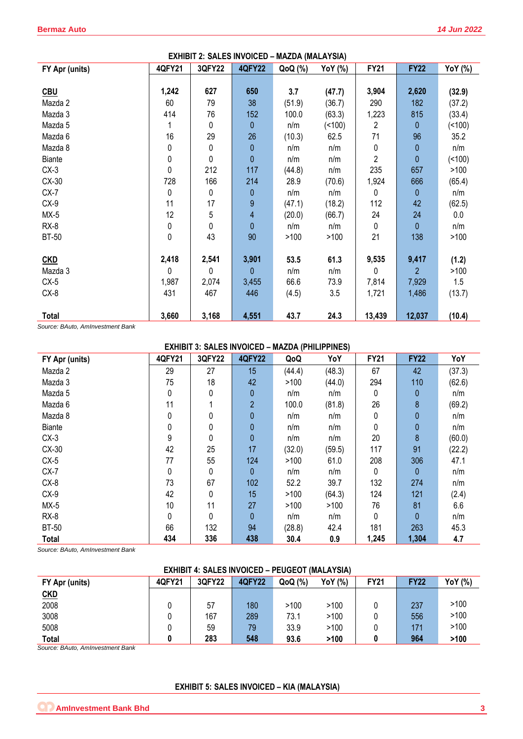| <b>EXHIBIT 2: SALES INVOICED - MAZDA (MALAYSIA)</b> |           |        |                  |         |         |             |                |          |  |
|-----------------------------------------------------|-----------|--------|------------------|---------|---------|-------------|----------------|----------|--|
| FY Apr (units)                                      | 4QFY21    | 3QFY22 | <b>4QFY22</b>    | QoQ (%) | YoY (%) | <b>FY21</b> | <b>FY22</b>    | YoY (%)  |  |
|                                                     |           |        |                  |         |         |             |                |          |  |
| <b>CBU</b>                                          | 1,242     | 627    | 650              | 3.7     | (47.7)  | 3,904       | 2,620          | (32.9)   |  |
| Mazda 2                                             | 60        | 79     | 38               | (51.9)  | (36.7)  | 290         | 182            | (37.2)   |  |
| Mazda 3                                             | 414       | 76     | 152              | 100.0   | (63.3)  | 1,223       | 815            | (33.4)   |  |
| Mazda 5                                             |           | 0      | 0                | n/m     | (100)   | 2           | 0              | ( < 100) |  |
| Mazda 6                                             | 16        | 29     | 26               | (10.3)  | 62.5    | 71          | 96             | 35.2     |  |
| Mazda 8                                             | 0         | 0      | 0                | n/m     | n/m     | 0           | 0              | n/m      |  |
| Biante                                              | 0         | 0      | $\pmb{0}$        | n/m     | n/m     | 2           | 0              | ( < 100) |  |
| $CX-3$                                              | $\pmb{0}$ | 212    | 117              | (44.8)  | n/m     | 235         | 657            | >100     |  |
| CX-30                                               | 728       | 166    | 214              | 28.9    | (70.6)  | 1,924       | 666            | (65.4)   |  |
| $CX-7$                                              | 0         | 0      | 0                | n/m     | n/m     | 0           | 0              | n/m      |  |
| $CX-9$                                              | 11        | 17     | $\boldsymbol{9}$ | (47.1)  | (18.2)  | 112         | 42             | (62.5)   |  |
| $MX-5$                                              | 12        | 5      | 4                | (20.0)  | (66.7)  | 24          | 24             | 0.0      |  |
| $RX-8$                                              | 0         | 0      | $\mathbf 0$      | n/m     | n/m     | 0           | 0              | n/m      |  |
| <b>BT-50</b>                                        | 0         | 43     | 90               | >100    | >100    | 21          | 138            | >100     |  |
|                                                     |           |        |                  |         |         |             |                |          |  |
| <b>CKD</b>                                          | 2,418     | 2,541  | 3,901            | 53.5    | 61.3    | 9,535       | 9,417          | (1.2)    |  |
| Mazda 3                                             | 0         | 0      | 0                | n/m     | n/m     | 0           | $\overline{2}$ | >100     |  |
| $CX-5$                                              | 1,987     | 2,074  | 3,455            | 66.6    | 73.9    | 7,814       | 7,929          | 1.5      |  |
| CX-8                                                | 431       | 467    | 446              | (4.5)   | 3.5     | 1,721       | 1,486          | (13.7)   |  |
| <b>Total</b>                                        | 3,660     | 3,168  | 4,551            | 43.7    | 24.3    | 13,439      | 12,037         | (10.4)   |  |

*Source: BAuto, AmInvestment Bank*

| <b>EXHIBIT 3: SALES INVOICED - MAZDA (PHILIPPINES)</b> |        |        |                |        |        |             |             |        |  |
|--------------------------------------------------------|--------|--------|----------------|--------|--------|-------------|-------------|--------|--|
| FY Apr (units)                                         | 4QFY21 | 3QFY22 | <b>4QFY22</b>  | QoQ    | YoY    | <b>FY21</b> | <b>FY22</b> | YoY    |  |
| Mazda 2                                                | 29     | 27     | 15             | (44.4) | (48.3) | 67          | 42          | (37.3) |  |
| Mazda 3                                                | 75     | 18     | 42             | >100   | (44.0) | 294         | 110         | (62.6) |  |
| Mazda 5                                                | 0      | 0      | 0              | n/m    | n/m    | 0           | 0           | n/m    |  |
| Mazda 6                                                | 11     |        | $\overline{2}$ | 100.0  | (81.8) | 26          | 8           | (69.2) |  |
| Mazda 8                                                | 0      | 0      | 0              | n/m    | n/m    |             | 0           | n/m    |  |
| <b>Biante</b>                                          | 0      | 0      | 0              | n/m    | n/m    | 0           | 0           | n/m    |  |
| $CX-3$                                                 | 9      | 0      | 0              | n/m    | n/m    | 20          | 8           | (60.0) |  |
| CX-30                                                  | 42     | 25     | 17             | (32.0) | (59.5) | 117         | 91          | (22.2) |  |
| $CX-5$                                                 | 77     | 55     | 124            | >100   | 61.0   | 208         | 306         | 47.1   |  |
| $CX-7$                                                 | 0      | 0      | 0              | n/m    | n/m    | 0           | 0           | n/m    |  |
| $CX-8$                                                 | 73     | 67     | 102            | 52.2   | 39.7   | 132         | 274         | n/m    |  |
| $CX-9$                                                 | 42     | 0      | 15             | >100   | (64.3) | 124         | 121         | (2.4)  |  |
| $MX-5$                                                 | 10     | 11     | 27             | >100   | >100   | 76          | 81          | 6.6    |  |
| $RX-8$                                                 | 0      | 0      | $\mathbf{0}$   | n/m    | n/m    | 0           | 0           | n/m    |  |
| <b>BT-50</b>                                           | 66     | 132    | 94             | (28.8) | 42.4   | 181         | 263         | 45.3   |  |
| <b>Total</b>                                           | 434    | 336    | 438            | 30.4   | 0.9    | 1,245       | 1,304       | 4.7    |  |

*Source: BAuto, AmInvestment Bank*

# **EXHIBIT 4: SALES INVOICED – PEUGEOT (MALAYSIA)**

| FY Apr (units) | <b>4QFY21</b> | 3QFY22 | <b>4QFY22</b> | QoQ (%) | YoY (%) | <b>FY21</b> | <b>FY22</b> | YoY (%) |
|----------------|---------------|--------|---------------|---------|---------|-------------|-------------|---------|
| <u>CKD</u>     |               |        |               |         |         |             |             |         |
| 2008           |               | 57     | 180           | >100    | >100    |             | 237         | >100    |
| 3008           |               | 167    | 289           | 73.1    | >100    |             | 556         | >100    |
| 5008           |               | 59     | 79            | 33.9    | >100    |             | 171         | >100    |
| <b>Total</b>   |               | 283    | 548           | 93.6    | >100    |             | 964         | >100    |

*Source: BAuto, AmInvestment Bank*

# **EXHIBIT 5: SALES INVOICED – KIA (MALAYSIA)**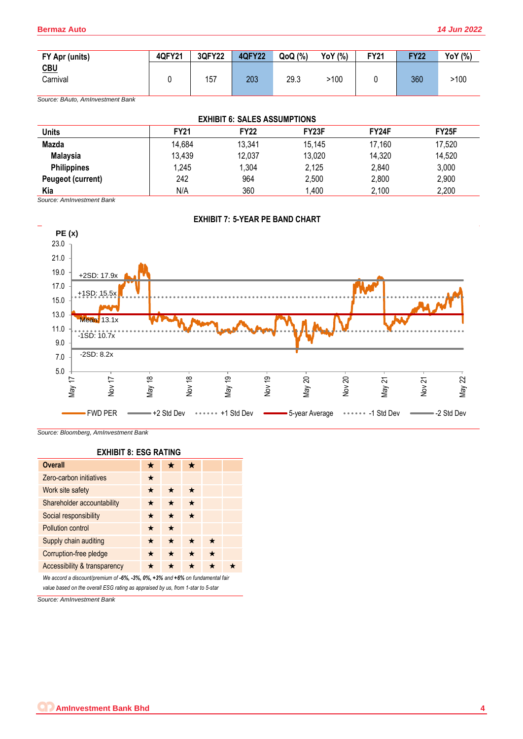| FY Apr (units)    | <b>4QFY21</b> | 3QFY22 | <b>4QFY22</b> | QoQ (%) | YoY (%) | <b>FY21</b> | <b>FY22</b> | <b>YoY</b> (%) |
|-------------------|---------------|--------|---------------|---------|---------|-------------|-------------|----------------|
| $CBU$<br>Carnival |               | 157    | 203           | 29.3    | >100    |             | 360         | >100           |
|                   |               |        |               |         |         |             |             |                |

*Source: BAuto, AmInvestment Bank*

| <b>EXHIBIT 6: SALES ASSUMPTIONS</b> |             |             |                    |        |        |  |  |  |  |
|-------------------------------------|-------------|-------------|--------------------|--------|--------|--|--|--|--|
| <b>Units</b>                        | <b>FY21</b> | <b>FY22</b> | FY <sub>23</sub> F | FY24F  | FY25F  |  |  |  |  |
| Mazda                               | 14,684      | 13,341      | 15,145             | 17,160 | 17,520 |  |  |  |  |
| <b>Malaysia</b>                     | 13,439      | 12,037      | 13,020             | 14,320 | 14,520 |  |  |  |  |
| <b>Philippines</b>                  | 1,245       | 1.304       | 2,125              | 2,840  | 3,000  |  |  |  |  |
| Peugeot (current)                   | 242         | 964         | 2,500              | 2,800  | 2,900  |  |  |  |  |
| Kia                                 | N/A         | 360         | 1,400              | 2,100  | 2,200  |  |  |  |  |

*Source: AmInvestment Bank*



*Source: Bloomberg, AmInvestment Bank*

**EXHIBIT 8: ESG RATING** 

| <b>Overall</b>                                                                |         |         |         |         |  |  |  |
|-------------------------------------------------------------------------------|---------|---------|---------|---------|--|--|--|
|                                                                               | ×       |         | ★       |         |  |  |  |
| Zero-carbon initiatives                                                       | $\star$ |         |         |         |  |  |  |
| Work site safety                                                              | ★       |         | $\star$ |         |  |  |  |
| Shareholder accountability                                                    | *       | ★       | $\star$ |         |  |  |  |
| Social responsibility                                                         | ★       | $\star$ | $\star$ |         |  |  |  |
| <b>Pollution control</b>                                                      | ★       | $\star$ |         |         |  |  |  |
| Supply chain auditing                                                         | ★       | $\star$ | ★       | $\star$ |  |  |  |
| Corruption-free pledge                                                        | $\star$ | $\star$ | $\star$ | ★       |  |  |  |
| Accessibility & transparency                                                  | *       |         | ★       | ★       |  |  |  |
| We accord a discount/premium of -6%, -3%, 0%, +3% and +6% on fundamental fair |         |         |         |         |  |  |  |

*value based on the overall ESG rating as appraised by us, from 1-star to 5-star*

*Source: AmInvestment Bank*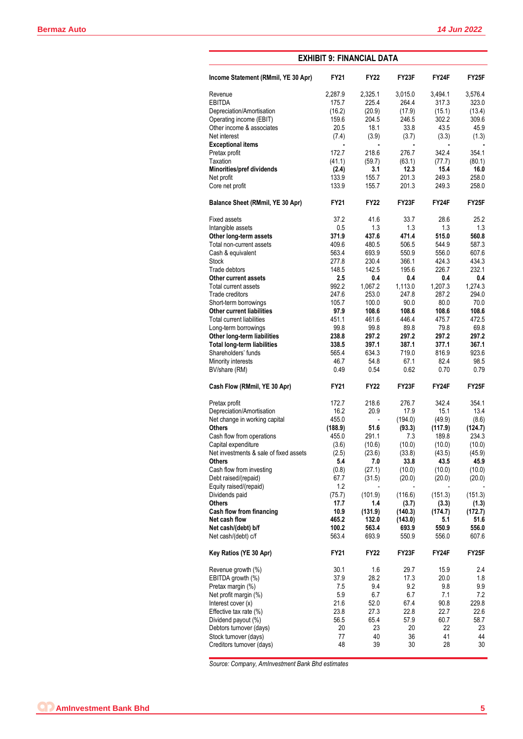| <b>EXHIBIT 9: FINANCIAL DATA</b>           |                |                |                |                |                    |  |  |  |  |
|--------------------------------------------|----------------|----------------|----------------|----------------|--------------------|--|--|--|--|
| Income Statement (RMmil, YE 30 Apr)        | <b>FY21</b>    | <b>FY22</b>    | FY23F          | FY24F          | FY25F              |  |  |  |  |
| Revenue                                    | 2,287.9        | 2,325.1        | 3,015.0        | 3.494.1        | 3,576.4            |  |  |  |  |
| <b>EBITDA</b>                              | 175.7          | 225.4          | 264.4          | 317.3          | 323.0              |  |  |  |  |
| Depreciation/Amortisation                  | (16.2)         | (20.9)         | (17.9)         | (15.1)         | (13.4)             |  |  |  |  |
| Operating income (EBIT)                    | 159.6          | 204.5          | 246.5          | 302.2          | 309.6              |  |  |  |  |
| Other income & associates                  | 20.5           | 18.1           | 33.8           | 43.5           | 45.9               |  |  |  |  |
| Net interest                               | (7.4)          | (3.9)          | (3.7)          | (3.3)          | (1.3)              |  |  |  |  |
| <b>Exceptional items</b>                   | ٠              | $\blacksquare$ | $\blacksquare$ |                |                    |  |  |  |  |
| Pretax profit                              | 172.7          | 218.6          | 276.7          | 342.4          | 354.1              |  |  |  |  |
| Taxation                                   | (41.1)         | (59.7)         | (63.1)         | (77.7)         | (80.1)             |  |  |  |  |
| Minorities/pref dividends                  | (2.4)          | 3.1            | 12.3           | 15.4           | 16.0               |  |  |  |  |
| Net profit                                 | 133.9          | 155.7          | 201.3          | 249.3          | 258.0              |  |  |  |  |
| Core net profit                            | 133.9          | 155.7          | 201.3          | 249.3          | 258.0              |  |  |  |  |
| Balance Sheet (RMmil, YE 30 Apr)           | <b>FY21</b>    | <b>FY22</b>    | FY23F          | FY24F          | FY25F              |  |  |  |  |
| <b>Fixed assets</b>                        | 37.2           | 41.6           | 33.7           | 28.6           | 25.2               |  |  |  |  |
| Intangible assets                          | 0.5            | 1.3            | 1.3            | 1.3            | 1.3                |  |  |  |  |
| Other long-term assets                     | 371.9          | 437.6          | 471.4          | 515.0          | 560.8              |  |  |  |  |
| Total non-current assets                   | 409.6          | 480.5          | 506.5          | 544.9          | 587.3              |  |  |  |  |
| Cash & equivalent                          | 563.4          | 693.9          | 550.9          | 556.0          | 607.6              |  |  |  |  |
| <b>Stock</b>                               | 277.8          | 230.4          | 366.1          | 424.3          | 434.3              |  |  |  |  |
| Trade debtors                              | 148.5          | 142.5          | 195.6          | 226.7          | 232.1              |  |  |  |  |
| Other current assets                       | 2.5            | 0.4            | 0.4            | 0.4            | 0.4                |  |  |  |  |
| Total current assets                       | 992.2          | 1,067.2        | 1,113.0        | 1,207.3        | 1,274.3            |  |  |  |  |
| Trade creditors                            | 247.6          | 253.0          | 247.8          | 287.2          | 294.0              |  |  |  |  |
| Short-term borrowings                      | 105.7          | 100.0          | 90.0           | 80.0           | 70.0               |  |  |  |  |
| <b>Other current liabilities</b>           | 97.9           | 108.6          | 108.6          | 108.6          | 108.6              |  |  |  |  |
| <b>Total current liabilities</b>           | 451.1          | 461.6          | 446.4          | 475.7          | 472.5              |  |  |  |  |
| Long-term borrowings                       | 99.8           | 99.8           | 89.8           | 79.8           | 69.8               |  |  |  |  |
| Other long-term liabilities                | 238.8          | 297.2          | 297.2          | 297.2          | 297.2              |  |  |  |  |
| <b>Total long-term liabilities</b>         | 338.5          | 397.1          | 387.1          | 377.1          | 367.1              |  |  |  |  |
| Shareholders' funds                        | 565.4          | 634.3          | 719.0          | 816.9          | 923.6              |  |  |  |  |
| Minority interests<br>BV/share (RM)        | 46.7<br>0.49   | 54.8<br>0.54   | 67.1<br>0.62   | 82.4<br>0.70   | 98.5<br>0.79       |  |  |  |  |
| Cash Flow (RMmil, YE 30 Apr)               | <b>FY21</b>    | <b>FY22</b>    | FY23F          | FY24F          | FY <sub>25</sub> F |  |  |  |  |
| Pretax profit                              | 172.7          | 218.6          | 276.7          | 342.4          | 354.1              |  |  |  |  |
| Depreciation/Amortisation                  | 16.2           | 20.9           | 17.9           | 15.1           | 13.4               |  |  |  |  |
| Net change in working capital              | 455.0          |                | (194.0)        | (49.9)         | (8.6)              |  |  |  |  |
| <b>Others</b>                              | (188.9)        | 51.6           | (93.3)         | (117.9)        | (124.7)            |  |  |  |  |
| Cash flow from operations                  | 455.0          | 291.1          | 7.3            | 189.8          | 234.3              |  |  |  |  |
| Capital expenditure                        | (3.6)          | (10.6)         | (10.0)         | (10.0)         | (10.0)             |  |  |  |  |
| Net investments & sale of fixed assets     | (2.5)          | (23.6)         | (33.8)         | (43.5)         | (45.9)             |  |  |  |  |
| <b>Others</b>                              | 5.4            | 7.0            | 33.8           | 43.5           | 45.9               |  |  |  |  |
| Cash flow from investing                   | (0.8)          | (27.1)         | (10.0)         | (10.0)         | (10.0)             |  |  |  |  |
| Debt raised/(repaid)                       | 67.7           | (31.5)         | (20.0)         | (20.0)         | (20.0)             |  |  |  |  |
| Equity raised/(repaid)                     | 1.2            |                |                |                |                    |  |  |  |  |
| Dividends paid                             | (75.7)         | (101.9)        | (116.6)        | (151.3)        | (151.3)            |  |  |  |  |
| <b>Others</b>                              | 17.7           | 1.4            | (3.7)          | (3.3)          | (1.3)              |  |  |  |  |
| Cash flow from financing                   | 10.9           | (131.9)        | (140.3)        | (174.7)        | (172.7)            |  |  |  |  |
| Net cash flow                              | 465.2          | 132.0          | (143.0)        | 5.1            | 51.6               |  |  |  |  |
| Net cash/(debt) b/f<br>Net cash/(debt) c/f | 100.2<br>563.4 | 563.4<br>693.9 | 693.9<br>550.9 | 550.9<br>556.0 | 556.0<br>607.6     |  |  |  |  |
| Key Ratios (YE 30 Apr)                     | <b>FY21</b>    | <b>FY22</b>    | FY23F          | FY24F          | FY25F              |  |  |  |  |
| Revenue growth (%)                         | 30.1           | 1.6            | 29.7           | 15.9           | 2.4                |  |  |  |  |
| EBITDA growth (%)                          | 37.9           | 28.2           | 17.3           | 20.0           | 1.8                |  |  |  |  |
| Pretax margin (%)                          | 7.5            | 9.4            | 9.2            | 9.8            | 9.9                |  |  |  |  |
| Net profit margin (%)                      | 5.9            | 6.7            | 6.7            | 7.1            | 7.2                |  |  |  |  |
| Interest cover (x)                         | 21.6           | 52.0           | 67.4           | 90.8           | 229.8              |  |  |  |  |
| Effective tax rate (%)                     | 23.8           | 27.3           | 22.8           | 22.7           | 22.6               |  |  |  |  |
| Dividend payout (%)                        | 56.5           | 65.4           | 57.9           | 60.7           | 58.7               |  |  |  |  |
| Debtors turnover (days)                    | 20             | 23             | 20             | 22             | 23                 |  |  |  |  |
| Stock turnover (days)                      | 77             | 40             | 36             | 41             | 44                 |  |  |  |  |
| Creditors turnover (days)                  | 48             | 39             | 30             | 28             | 30                 |  |  |  |  |
|                                            |                |                |                |                |                    |  |  |  |  |

*Source: Company, AmInvestment Bank Bhd estimates*